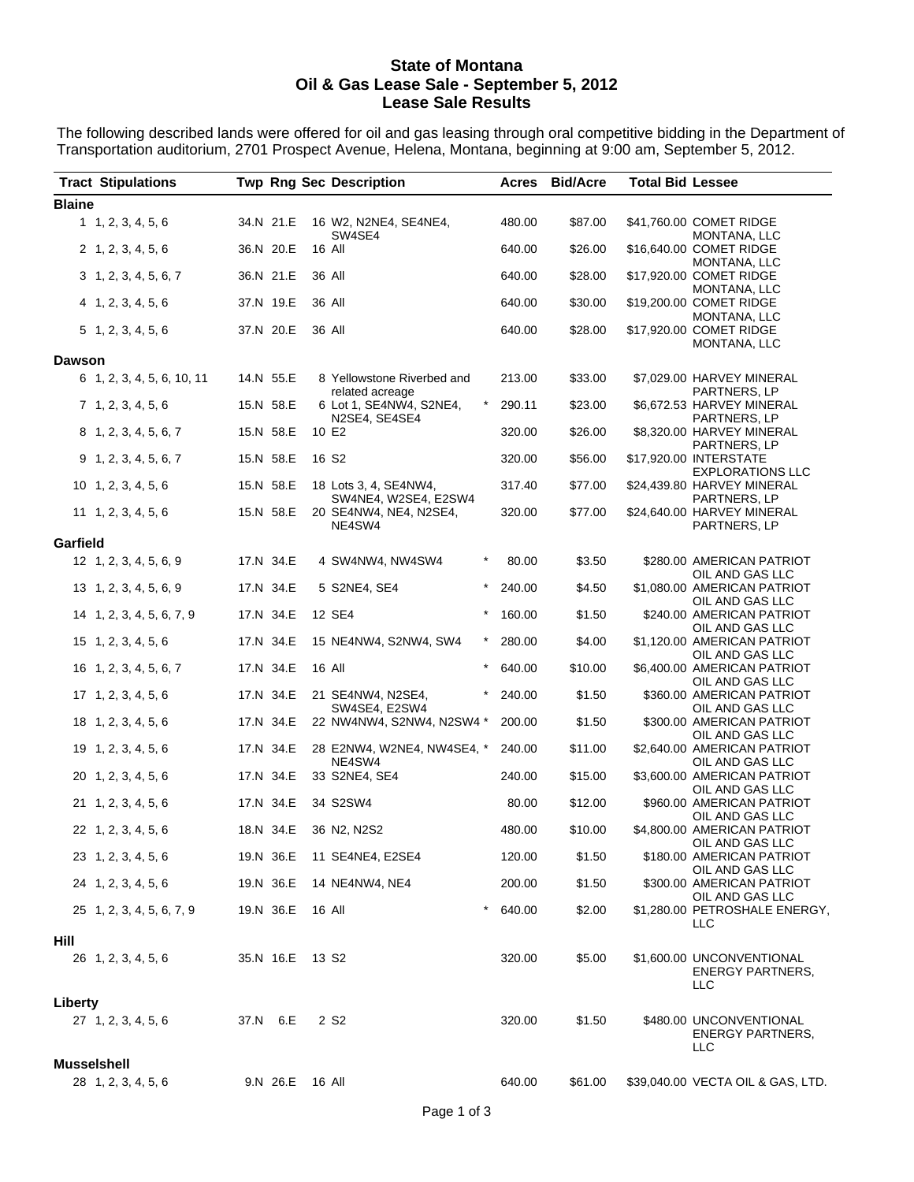## **State of Montana Oil & Gas Lease Sale - September 5, 2012 Lease Sale Results**

The following described lands were offered for oil and gas leasing through oral competitive bidding in the Department of Transportation auditorium, 2701 Prospect Avenue, Helena, Montana, beginning at 9:00 am, September 5, 2012.

| <b>Tract Stipulations</b>   |                            |           |           |                   | <b>Twp Rng Sec Description</b>                |          |        | Acres Bid/Acre | <b>Total Bid Lessee</b> |                                                             |
|-----------------------------|----------------------------|-----------|-----------|-------------------|-----------------------------------------------|----------|--------|----------------|-------------------------|-------------------------------------------------------------|
| <b>Blaine</b>               |                            |           |           |                   |                                               |          |        |                |                         |                                                             |
| 1, 2, 3, 4, 5, 6            |                            | 34.N 21.E |           |                   | 16 W2, N2NE4, SE4NE4,<br>SW4SE4               |          | 480.00 | \$87.00        |                         | \$41,760.00 COMET RIDGE<br>MONTANA, LLC                     |
| 2, 1, 2, 3, 4, 5, 6         |                            | 36.N 20.E |           |                   | 16 All                                        |          | 640.00 | \$26.00        |                         | \$16,640.00 COMET RIDGE                                     |
|                             | 3, 1, 2, 3, 4, 5, 6, 7     | 36.N 21.E |           | 36 All            |                                               |          | 640.00 | \$28.00        |                         | MONTANA, LLC<br>\$17,920.00 COMET RIDGE<br>MONTANA, LLC     |
| 4 1, 2, 3, 4, 5, 6          |                            | 37.N 19.E |           |                   | 36 All                                        |          | 640.00 | \$30.00        |                         | \$19,200.00 COMET RIDGE<br>MONTANA, LLC                     |
| $5$ 1, 2, 3, 4, 5, 6        |                            | 37.N 20.E |           |                   | 36 All                                        |          | 640.00 | \$28.00        |                         | \$17,920.00 COMET RIDGE<br>MONTANA, LLC                     |
| <b>Dawson</b>               |                            |           |           |                   |                                               |          |        |                |                         |                                                             |
|                             | 6 1, 2, 3, 4, 5, 6, 10, 11 | 14.N 55.E |           |                   | 8 Yellowstone Riverbed and<br>related acreage |          | 213.00 | \$33.00        |                         | \$7,029.00 HARVEY MINERAL<br>PARTNERS, LP                   |
| 7, 1, 2, 3, 4, 5, 6         |                            | 15.N 58.E |           |                   | 6 Lot 1, SE4NW4, S2NE4,<br>N2SE4, SE4SE4      | $^\star$ | 290.11 | \$23.00        |                         | \$6,672.53 HARVEY MINERAL<br>PARTNERS, LP                   |
|                             | 8 1, 2, 3, 4, 5, 6, 7      |           | 15.N 58.E |                   | 10 E2                                         |          | 320.00 | \$26.00        |                         | \$8,320.00 HARVEY MINERAL<br>PARTNERS, LP                   |
|                             | $9$ 1, 2, 3, 4, 5, 6, 7    | 15.N 58.E |           |                   | 16 S <sub>2</sub>                             |          | 320.00 | \$56.00        |                         | \$17,920.00 INTERSTATE<br><b>EXPLORATIONS LLC</b>           |
| $10$ 1, 2, 3, 4, 5, 6       |                            | 15.N 58.E |           |                   | 18 Lots 3, 4, SE4NW4,<br>SW4NE4, W2SE4, E2SW4 |          | 317.40 | \$77.00        |                         | \$24,439.80 HARVEY MINERAL<br>PARTNERS, LP                  |
| $11 \quad 1, 2, 3, 4, 5, 6$ |                            | 15.N 58.E |           |                   | 20 SE4NW4, NE4, N2SE4,<br>NE4SW4              |          | 320.00 | \$77.00        |                         | \$24,640.00 HARVEY MINERAL<br>PARTNERS, LP                  |
| Garfield                    |                            |           |           |                   |                                               |          |        |                |                         |                                                             |
| 12 1, 2, 3, 4, 5, 6, 9      |                            | 17.N 34.E |           |                   | 4 SW4NW4, NW4SW4                              | $^\star$ | 80.00  | \$3.50         |                         | \$280.00 AMERICAN PATRIOT<br>OIL AND GAS LLC                |
| 13 1, 2, 3, 4, 5, 6, 9      |                            |           | 17.N 34.E |                   | 5 S2NE4, SE4                                  | $\ast$   | 240.00 | \$4.50         |                         | \$1,080.00 AMERICAN PATRIOT<br>OIL AND GAS LLC              |
|                             | 14 1, 2, 3, 4, 5, 6, 7, 9  |           | 17.N 34.E |                   | 12 SE4                                        | $\ast$   | 160.00 | \$1.50         |                         | \$240.00 AMERICAN PATRIOT<br>OIL AND GAS LLC                |
| $15 \quad 1, 2, 3, 4, 5, 6$ |                            |           | 17.N 34.E |                   | 15 NE4NW4, S2NW4, SW4                         | $^\star$ | 280.00 | \$4.00         |                         | \$1,120.00 AMERICAN PATRIOT<br>OIL AND GAS LLC              |
|                             | 16 1, 2, 3, 4, 5, 6, 7     | 17.N 34.E |           |                   | 16 All                                        | $\star$  | 640.00 | \$10.00        |                         | \$6,400.00 AMERICAN PATRIOT<br>OIL AND GAS LLC              |
| $17 \quad 1, 2, 3, 4, 5, 6$ |                            |           | 17.N 34.E |                   | 21 SE4NW4, N2SE4,<br>SW4SE4, E2SW4            | $\ast$   | 240.00 | \$1.50         |                         | \$360.00 AMERICAN PATRIOT<br>OIL AND GAS LLC                |
| 18 1, 2, 3, 4, 5, 6         |                            |           | 17.N 34.E |                   | 22 NW4NW4, S2NW4, N2SW4 *                     |          | 200.00 | \$1.50         |                         | \$300.00 AMERICAN PATRIOT<br>OIL AND GAS LLC                |
| 19 1, 2, 3, 4, 5, 6         |                            |           | 17.N 34.E |                   | 28 E2NW4, W2NE4, NW4SE4, *<br>NE4SW4          |          | 240.00 | \$11.00        |                         | \$2,640.00 AMERICAN PATRIOT<br>OIL AND GAS LLC              |
| 20 1, 2, 3, 4, 5, 6         |                            |           | 17.N 34.E |                   | 33 S2NE4, SE4                                 |          | 240.00 | \$15.00        |                         | \$3,600.00 AMERICAN PATRIOT<br>OIL AND GAS LLC              |
| 21 1, 2, 3, 4, 5, 6         |                            | 17.N 34.E |           |                   | 34 S2SW4                                      |          | 80.00  | \$12.00        |                         | \$960.00 AMERICAN PATRIOT<br>OIL AND GAS LLC                |
| 22 1, 2, 3, 4, 5, 6         |                            |           | 18.N 34.E |                   | 36 N2, N2S2                                   |          | 480.00 | \$10.00        |                         | \$4,800.00 AMERICAN PATRIOT<br>OIL AND GAS LLC              |
| 23 1, 2, 3, 4, 5, 6         |                            |           |           |                   | 19.N 36.E 11 SE4NE4, E2SE4                    |          | 120.00 | \$1.50         |                         | \$180.00 AMERICAN PATRIOT<br>OIL AND GAS LLC                |
| 24 1, 2, 3, 4, 5, 6         |                            |           | 19.N 36.E |                   | 14 NE4NW4, NE4                                |          | 200.00 | \$1.50         |                         | \$300.00 AMERICAN PATRIOT<br>OIL AND GAS LLC                |
|                             | 25 1, 2, 3, 4, 5, 6, 7, 9  |           | 19.N 36.E |                   | 16 All                                        | $^\star$ | 640.00 | \$2.00         |                         | \$1,280.00 PETROSHALE ENERGY,<br><b>LLC</b>                 |
| Hill                        |                            |           |           |                   |                                               |          |        |                |                         |                                                             |
| 26 1, 2, 3, 4, 5, 6         |                            |           | 35.N 16.E | 13 S <sub>2</sub> |                                               |          | 320.00 | \$5.00         |                         | \$1,600.00 UNCONVENTIONAL<br><b>ENERGY PARTNERS,</b><br>LLC |
| Liberty                     |                            |           |           |                   |                                               |          |        |                |                         |                                                             |
| $27 \quad 1, 2, 3, 4, 5, 6$ |                            |           | 37.N 6.E  |                   | 2 S2                                          |          | 320.00 | \$1.50         |                         | \$480.00 UNCONVENTIONAL<br><b>ENERGY PARTNERS,</b><br>LLC   |
| Musselshell                 |                            |           |           |                   |                                               |          |        |                |                         |                                                             |
| 28 1, 2, 3, 4, 5, 6         |                            |           | 9.N 26.E  | 16 All            |                                               |          | 640.00 | \$61.00        |                         | \$39,040.00 VECTA OIL & GAS, LTD.                           |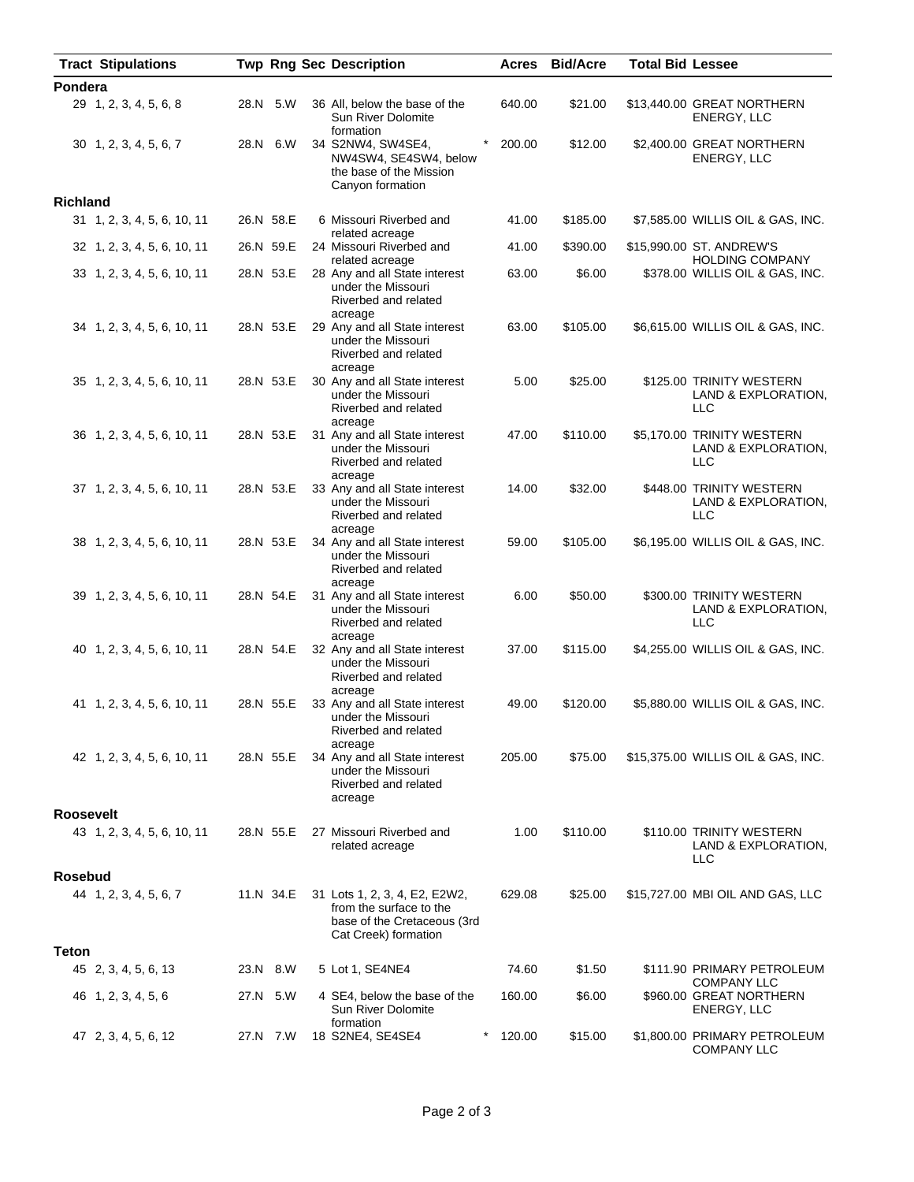|                  | <b>Tract Stipulations</b>   |           | <b>Twp Rng Sec Description</b>                                                                                  | Acres  | <b>Bid/Acre</b> | <b>Total Bid Lessee</b> |                                                                 |
|------------------|-----------------------------|-----------|-----------------------------------------------------------------------------------------------------------------|--------|-----------------|-------------------------|-----------------------------------------------------------------|
| Pondera          |                             |           |                                                                                                                 |        |                 |                         |                                                                 |
|                  | 29 1, 2, 3, 4, 5, 6, 8      | 28.N 5.W  | 36 All, below the base of the<br>Sun River Dolomite<br>formation                                                | 640.00 | \$21.00         |                         | \$13,440.00 GREAT NORTHERN<br>ENERGY, LLC                       |
|                  | 30 1, 2, 3, 4, 5, 6, 7      | 28.N 6.W  | 34 S2NW4, SW4SE4,<br>NW4SW4, SE4SW4, below<br>the base of the Mission<br>Canyon formation                       | 200.00 | \$12.00         |                         | \$2,400.00 GREAT NORTHERN<br>ENERGY, LLC                        |
| <b>Richland</b>  |                             |           |                                                                                                                 |        |                 |                         |                                                                 |
|                  | 31 1, 2, 3, 4, 5, 6, 10, 11 | 26.N 58.E | 6 Missouri Riverbed and<br>related acreage                                                                      | 41.00  | \$185.00        |                         | \$7,585.00 WILLIS OIL & GAS, INC.                               |
|                  | 32 1, 2, 3, 4, 5, 6, 10, 11 | 26.N 59.E | 24 Missouri Riverbed and<br>related acreage                                                                     | 41.00  | \$390.00        |                         | \$15,990.00 ST. ANDREW'S<br><b>HOLDING COMPANY</b>              |
|                  | 33 1, 2, 3, 4, 5, 6, 10, 11 | 28.N 53.E | 28 Any and all State interest<br>under the Missouri<br>Riverbed and related                                     | 63.00  | \$6.00          |                         | \$378.00 WILLIS OIL & GAS, INC.                                 |
|                  | 34 1, 2, 3, 4, 5, 6, 10, 11 | 28.N 53.E | acreage<br>29 Any and all State interest<br>under the Missouri<br>Riverbed and related                          | 63.00  | \$105.00        |                         | \$6,615.00 WILLIS OIL & GAS, INC.                               |
|                  | 35 1, 2, 3, 4, 5, 6, 10, 11 | 28.N 53.E | acreage<br>30 Any and all State interest<br>under the Missouri<br>Riverbed and related<br>acreage               | 5.00   | \$25.00         |                         | \$125.00 TRINITY WESTERN<br>LAND & EXPLORATION,<br><b>LLC</b>   |
|                  | 36 1, 2, 3, 4, 5, 6, 10, 11 | 28.N 53.E | 31 Any and all State interest<br>under the Missouri<br>Riverbed and related<br>acreage                          | 47.00  | \$110.00        |                         | \$5,170.00 TRINITY WESTERN<br>LAND & EXPLORATION,<br><b>LLC</b> |
|                  | 37 1, 2, 3, 4, 5, 6, 10, 11 | 28.N 53.E | 33 Any and all State interest<br>under the Missouri<br>Riverbed and related<br>acreage                          | 14.00  | \$32.00         |                         | \$448.00 TRINITY WESTERN<br>LAND & EXPLORATION,<br><b>LLC</b>   |
|                  | 38 1, 2, 3, 4, 5, 6, 10, 11 | 28.N 53.E | 34 Any and all State interest<br>under the Missouri<br>Riverbed and related<br>acreage                          | 59.00  | \$105.00        |                         | \$6,195.00 WILLIS OIL & GAS, INC.                               |
|                  | 39 1, 2, 3, 4, 5, 6, 10, 11 | 28.N 54.E | 31 Any and all State interest<br>under the Missouri<br>Riverbed and related<br>acreage                          | 6.00   | \$50.00         |                         | \$300.00 TRINITY WESTERN<br>LAND & EXPLORATION,<br><b>LLC</b>   |
|                  | 40 1, 2, 3, 4, 5, 6, 10, 11 | 28.N 54.E | 32 Any and all State interest<br>under the Missouri<br>Riverbed and related<br>acreage                          | 37.00  | \$115.00        |                         | \$4,255.00 WILLIS OIL & GAS, INC.                               |
|                  | 41 1, 2, 3, 4, 5, 6, 10, 11 | 28.N 55.E | 33 Any and all State interest<br>under the Missouri<br>Riverbed and related<br>acreage                          | 49.00  | \$120.00        |                         | \$5,880.00 WILLIS OIL & GAS, INC.                               |
|                  | 42 1, 2, 3, 4, 5, 6, 10, 11 | 28.N 55.E | 34 Any and all State interest<br>under the Missouri<br>Riverbed and related<br>acreage                          | 205.00 | \$75.00         |                         | \$15,375.00 WILLIS OIL & GAS, INC.                              |
| <b>Roosevelt</b> |                             |           |                                                                                                                 |        |                 |                         |                                                                 |
|                  | 43 1, 2, 3, 4, 5, 6, 10, 11 | 28.N 55.E | 27 Missouri Riverbed and<br>related acreage                                                                     | 1.00   | \$110.00        |                         | \$110.00 TRINITY WESTERN<br>LAND & EXPLORATION,<br>LLC          |
| <b>Rosebud</b>   |                             |           |                                                                                                                 |        |                 |                         |                                                                 |
|                  | 44 1, 2, 3, 4, 5, 6, 7      | 11.N 34.E | 31 Lots 1, 2, 3, 4, E2, E2W2,<br>from the surface to the<br>base of the Cretaceous (3rd<br>Cat Creek) formation | 629.08 | \$25.00         |                         | \$15,727.00 MBI OIL AND GAS, LLC                                |
| <b>Teton</b>     |                             |           |                                                                                                                 |        |                 |                         |                                                                 |
|                  | 45 2, 3, 4, 5, 6, 13        | 23.N 8.W  | 5 Lot 1, SE4NE4                                                                                                 | 74.60  | \$1.50          |                         | \$111.90 PRIMARY PETROLEUM<br><b>COMPANY LLC</b>                |
|                  | 46 1, 2, 3, 4, 5, 6         | 27.N 5.W  | 4 SE4, below the base of the<br><b>Sun River Dolomite</b><br>formation                                          | 160.00 | \$6.00          |                         | \$960.00 GREAT NORTHERN<br>ENERGY, LLC                          |
|                  | 47 2, 3, 4, 5, 6, 12        | 27.N 7.W  | 18 S2NE4, SE4SE4                                                                                                | 120.00 | \$15.00         |                         | \$1,800.00 PRIMARY PETROLEUM<br><b>COMPANY LLC</b>              |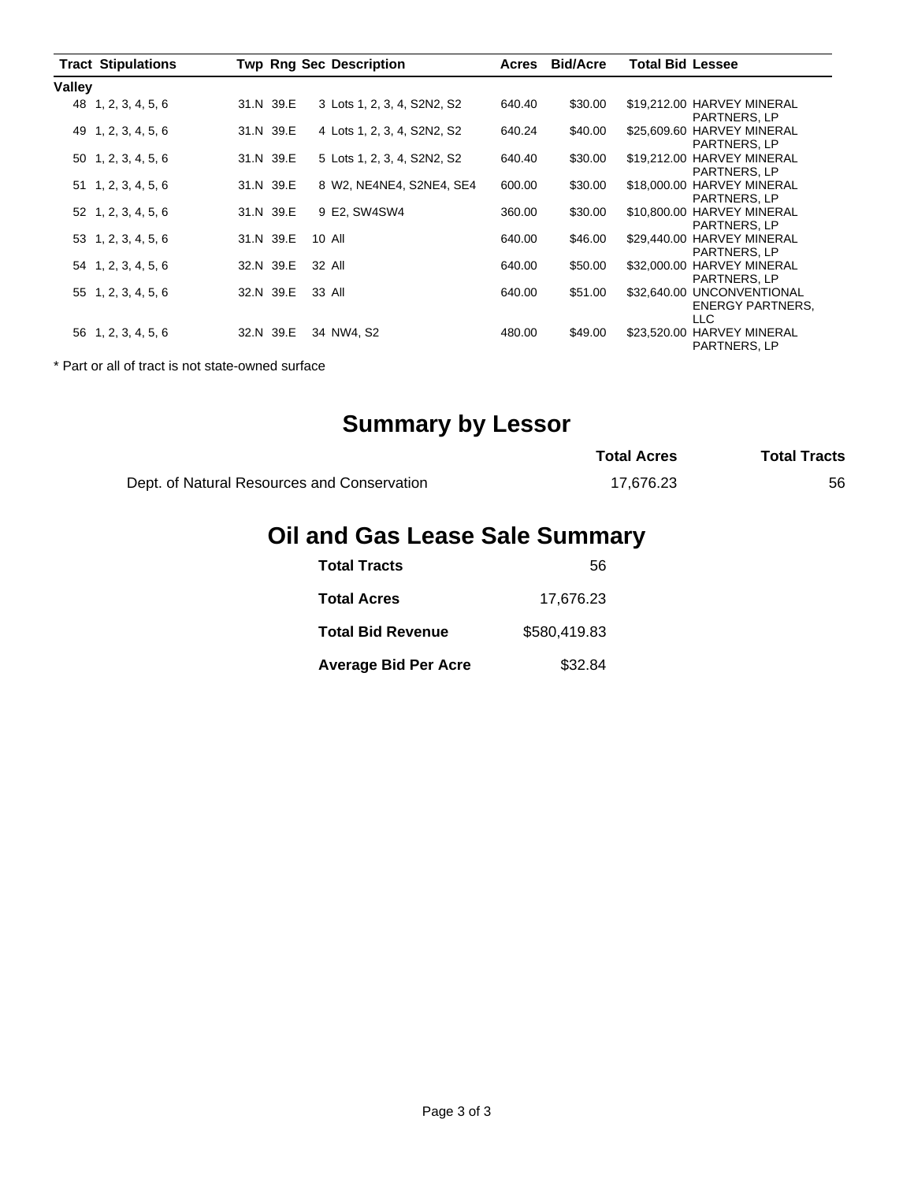|        | <b>Tract Stipulations</b>   |           | <b>Twp Rng Sec Description</b> | Acres  | <b>Bid/Acre</b> | <b>Total Bid Lessee</b>                                                       |
|--------|-----------------------------|-----------|--------------------------------|--------|-----------------|-------------------------------------------------------------------------------|
| Valley |                             |           |                                |        |                 |                                                                               |
|        | 48 1, 2, 3, 4, 5, 6         | 31.N 39.E | 3 Lots 1, 2, 3, 4, S2N2, S2    | 640.40 | \$30.00         | \$19,212.00 HARVEY MINERAL<br>PARTNERS, LP                                    |
|        | 49 1, 2, 3, 4, 5, 6         | 31.N 39.E | 4 Lots 1, 2, 3, 4, S2N2, S2    | 640.24 | \$40.00         | <b>HARVEY MINERAL</b><br>\$25,609.60<br>PARTNERS, LP                          |
|        | 50 1, 2, 3, 4, 5, 6         | 31.N 39.E | 5 Lots 1, 2, 3, 4, S2N2, S2    | 640.40 | \$30.00         | <b>HARVEY MINERAL</b><br>\$19,212.00<br>PARTNERS, LP                          |
|        | $51 \quad 1, 2, 3, 4, 5, 6$ | 31.N 39.E | 8 W2, NE4NE4, S2NE4, SE4       | 600.00 | \$30.00         | <b>HARVEY MINERAL</b><br>\$18,000.00<br>PARTNERS, LP                          |
|        | 52 1, 2, 3, 4, 5, 6         | 31.N 39.E | 9 E2, SW4SW4                   | 360.00 | \$30.00         | <b>HARVEY MINERAL</b><br>\$10,800.00<br>PARTNERS, LP                          |
|        | 53 1, 2, 3, 4, 5, 6         | 31.N 39.E | 10 All                         | 640.00 | \$46.00         | <b>HARVEY MINERAL</b><br>\$29,440.00<br>PARTNERS, LP                          |
|        | 54 1, 2, 3, 4, 5, 6         | 32.N 39.E | 32 All                         | 640.00 | \$50.00         | <b>HARVEY MINERAL</b><br>\$32,000.00<br><b>PARTNERS, LP</b>                   |
|        | 55 1, 2, 3, 4, 5, 6         | 32.N 39.E | 33 All                         | 640.00 | \$51.00         | <b>UNCONVENTIONAL</b><br>\$32,640.00<br><b>ENERGY PARTNERS,</b><br><b>LLC</b> |
|        | 56 1, 2, 3, 4, 5, 6         | 32.N 39.E | 34 NW4. S2                     | 480.00 | \$49.00         | <b>HARVEY MINERAL</b><br>\$23,520.00<br>PARTNERS, LP                          |

\* Part or all of tract is not state-owned surface

## **Summary by Lessor**

|                                             | <b>Total Acres</b> | <b>Total Tracts</b> |
|---------------------------------------------|--------------------|---------------------|
| Dept. of Natural Resources and Conservation | 17.676.23          | 56                  |

## **Oil and Gas Lease Sale Summary**

| <b>Total Tracts</b>         | 56           |
|-----------------------------|--------------|
| <b>Total Acres</b>          | 17,676.23    |
| <b>Total Bid Revenue</b>    | \$580.419.83 |
| <b>Average Bid Per Acre</b> | \$32.84      |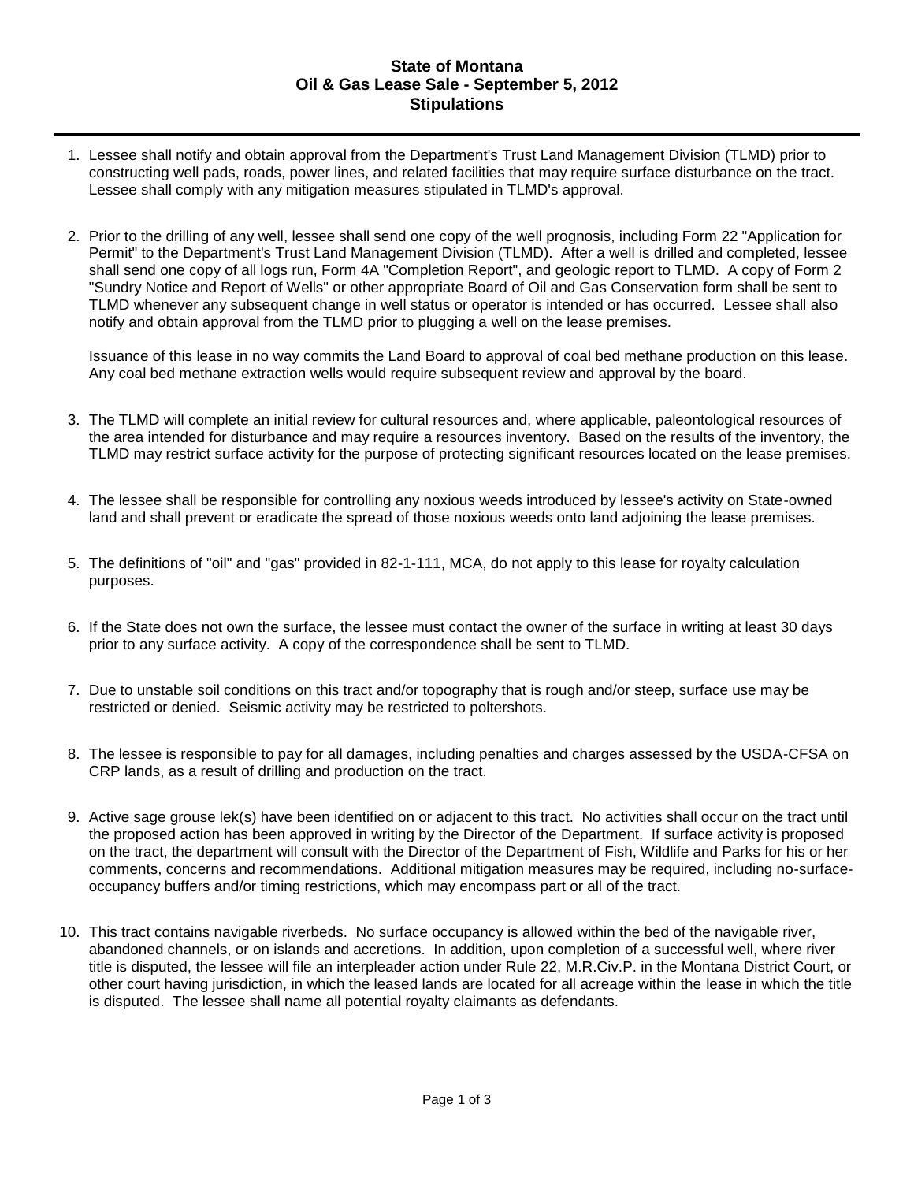## **State of Montana Oil & Gas Lease Sale - September 5, 2012 Stipulations**

- 1. Lessee shall notify and obtain approval from the Department's Trust Land Management Division (TLMD) prior to constructing well pads, roads, power lines, and related facilities that may require surface disturbance on the tract. Lessee shall comply with any mitigation measures stipulated in TLMD's approval.
- 2. Prior to the drilling of any well, lessee shall send one copy of the well prognosis, including Form 22 "Application for Permit" to the Department's Trust Land Management Division (TLMD). After a well is drilled and completed, lessee shall send one copy of all logs run, Form 4A "Completion Report", and geologic report to TLMD. A copy of Form 2 "Sundry Notice and Report of Wells" or other appropriate Board of Oil and Gas Conservation form shall be sent to TLMD whenever any subsequent change in well status or operator is intended or has occurred. Lessee shall also notify and obtain approval from the TLMD prior to plugging a well on the lease premises.

Issuance of this lease in no way commits the Land Board to approval of coal bed methane production on this lease. Any coal bed methane extraction wells would require subsequent review and approval by the board.

- 3. The TLMD will complete an initial review for cultural resources and, where applicable, paleontological resources of the area intended for disturbance and may require a resources inventory. Based on the results of the inventory, the TLMD may restrict surface activity for the purpose of protecting significant resources located on the lease premises.
- 4. The lessee shall be responsible for controlling any noxious weeds introduced by lessee's activity on State-owned land and shall prevent or eradicate the spread of those noxious weeds onto land adjoining the lease premises.
- 5. The definitions of "oil" and "gas" provided in 82-1-111, MCA, do not apply to this lease for royalty calculation purposes.
- 6. If the State does not own the surface, the lessee must contact the owner of the surface in writing at least 30 days prior to any surface activity. A copy of the correspondence shall be sent to TLMD.
- 7. Due to unstable soil conditions on this tract and/or topography that is rough and/or steep, surface use may be restricted or denied. Seismic activity may be restricted to poltershots.
- 8. The lessee is responsible to pay for all damages, including penalties and charges assessed by the USDA-CFSA on CRP lands, as a result of drilling and production on the tract.
- 9. Active sage grouse lek(s) have been identified on or adjacent to this tract. No activities shall occur on the tract until the proposed action has been approved in writing by the Director of the Department. If surface activity is proposed on the tract, the department will consult with the Director of the Department of Fish, Wildlife and Parks for his or her comments, concerns and recommendations. Additional mitigation measures may be required, including no-surfaceoccupancy buffers and/or timing restrictions, which may encompass part or all of the tract.
- 10. This tract contains navigable riverbeds. No surface occupancy is allowed within the bed of the navigable river, abandoned channels, or on islands and accretions. In addition, upon completion of a successful well, where river title is disputed, the lessee will file an interpleader action under Rule 22, M.R.Civ.P. in the Montana District Court, or other court having jurisdiction, in which the leased lands are located for all acreage within the lease in which the title is disputed. The lessee shall name all potential royalty claimants as defendants.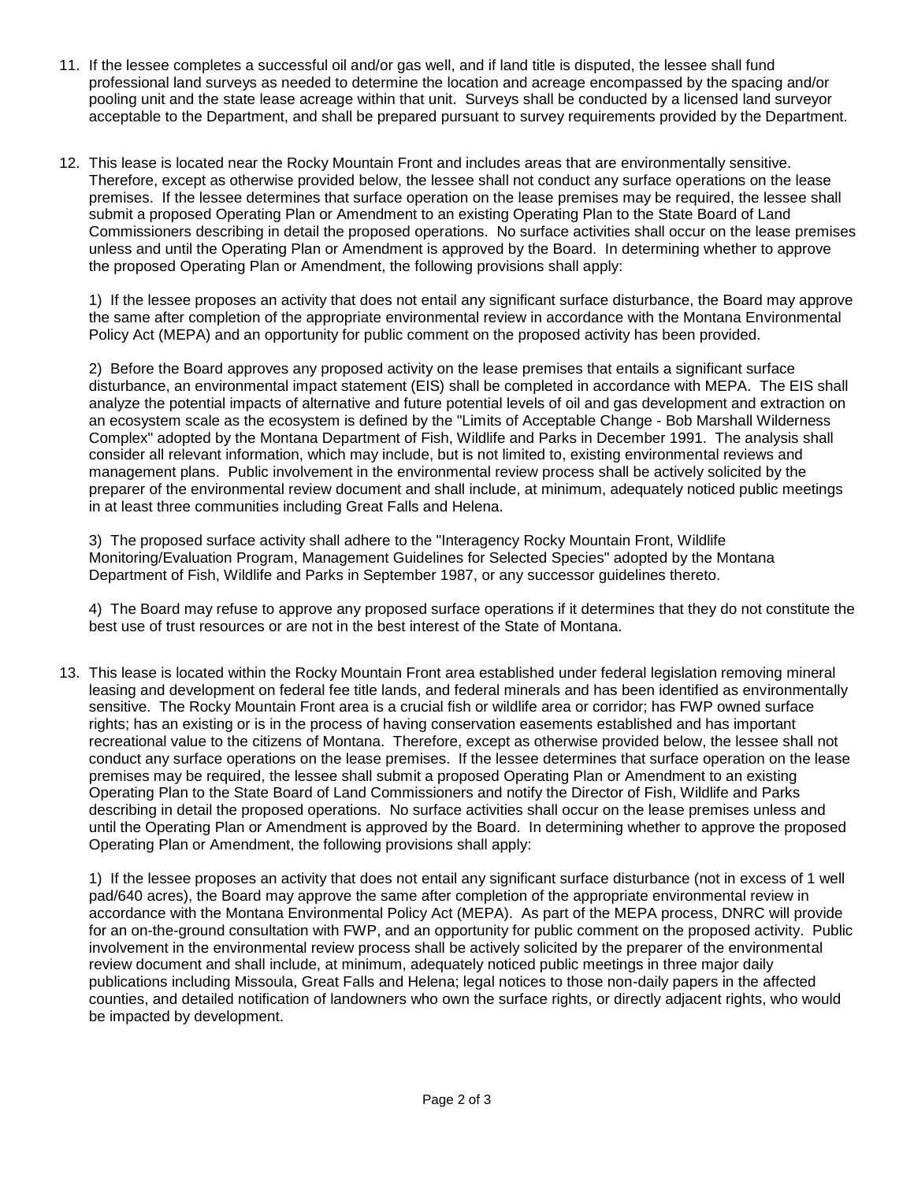- 11. If the lessee completes a successful oil and/or gas well, and if land title is disputed, the lessee shall fund professional land surveys as needed to determine the location and acreage encompassed by the spacing and/or pooling unit and the state lease acreage within that unit. Surveys shall be conducted by a licensed land surveyor acceptable to the Department, and shall be prepared pursuant to survey requirements provided by the Department.
- 12. This lease is located near the Rocky Mountain Front and includes areas that are environmentally sensitive. Therefore, except as otherwise provided below, the lessee shall not conduct any surface operations on the lease premises. If the lessee determines that surface operation on the lease premises may be required, the lessee shall submit a proposed Operating Plan or Amendment to an existing Operating Plan to the State Board of Land Commissioners describing in detail the proposed operations. No surface activities shall occur on the lease premises unless and until the Operating Plan or Amendment is approved by the Board. In determining whether to approve the proposed Operating Plan or Amendment, the following provisions shall apply:

1) If the lessee proposes an activity that does not entail any significant surface disturbance, the Board may approve the same after completion of the appropriate environmental review in accordance with the Montana Environmental Policy Act (MEPA) and an opportunity for public comment on the proposed activity has been provided.

2) Before the Board approves any proposed activity on the lease premises that entails a significant surface disturbance, an environmental impact statement (EIS) shall be completed in accordance with MEPA. The EIS shall analyze the potential impacts of alternative and future potential levels of oil and gas development and extraction on an ecosystem scale as the ecosystem is defined by the "Limits of Acceptable Change - Bob Marshall Wilderness Complex" adopted by the Montana Department of Fish, Wildlife and Parks in December 1991. The analysis shall consider all relevant information, which may include, but is not limited to, existing environmental reviews and management plans. Public involvement in the environmental review process shall be actively solicited by the preparer of the environmental review document and shall include, at minimum, adequately noticed public meetings in at least three communities including Great Falls and Helena.

3) The proposed surface activity shall adhere to the "Interagency Rocky Mountain Front, Wildlife Monitoring/Evaluation Program, Management Guidelines for Selected Species" adopted by the Montana Department of Fish, Wildlife and Parks in September 1987, or any successor guidelines thereto.

4) The Board may refuse to approve any proposed surface operations if it determines that they do not constitute the best use of trust resources or are not in the best interest of the State of Montana.

13. This lease is located within the Rocky Mountain Front area established under federal legislation removing mineral leasing and development on federal fee title lands, and federal minerals and has been identified as environmentally sensitive. The Rocky Mountain Front area is a crucial fish or wildlife area or corridor; has FWP owned surface rights; has an existing or is in the process of having conservation easements established and has important recreational value to the citizens of Montana. Therefore, except as otherwise provided below, the lessee shall not conduct any surface operations on the lease premises. If the lessee determines that surface operation on the lease premises may be required, the lessee shall submit a proposed Operating Plan or Amendment to an existing Operating Plan to the State Board of Land Commissioners and notify the Director of Fish, Wildlife and Parks describing in detail the proposed operations. No surface activities shall occur on the lease premises unless and until the Operating Plan or Amendment is approved by the Board. In determining whether to approve the proposed Operating Plan or Amendment, the following provisions shall apply:

1) If the lessee proposes an activity that does not entail any significant surface disturbance (not in excess of 1 well pad/640 acres), the Board may approve the same after completion of the appropriate environmental review in accordance with the Montana Environmental Policy Act (MEPA). As part of the MEPA process, DNRC will provide for an on-the-ground consultation with FWP, and an opportunity for public comment on the proposed activity. Public involvement in the environmental review process shall be actively solicited by the preparer of the environmental review document and shall include, at minimum, adequately noticed public meetings in three major daily publications including Missoula, Great Falls and Helena; legal notices to those non-daily papers in the affected counties, and detailed notification of landowners who own the surface rights, or directly adjacent rights, who would be impacted by development.